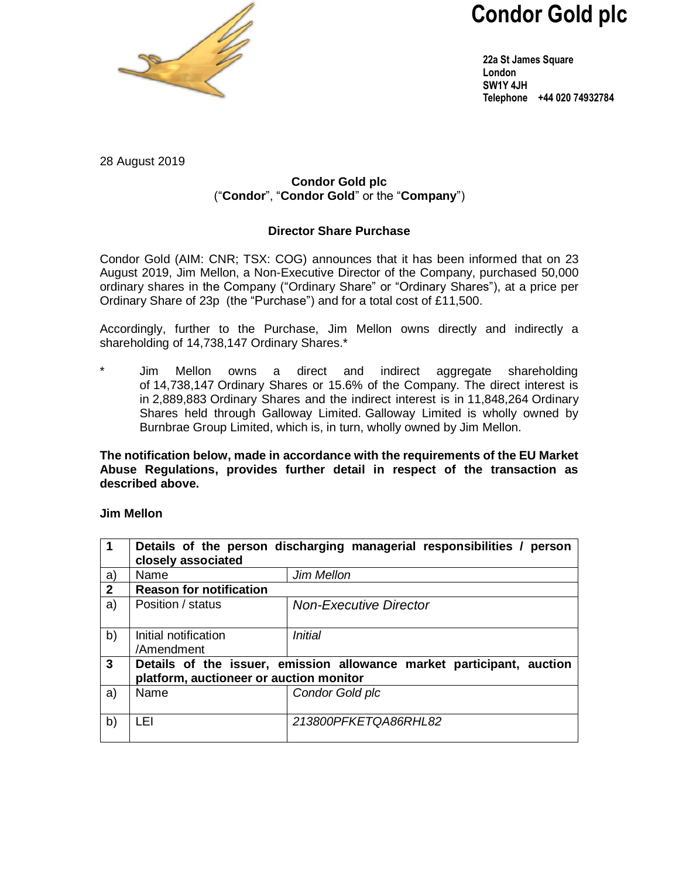

# **Condor Gold plc**

**22a St James Square London SW1Y 4JH Telephone +44 020 74932784**

28 August 2019

# **Condor Gold plc** ("**Condor**", "**Condor Gold**" or the "**Company**")

## **Director Share Purchase**

Condor Gold (AIM: CNR; TSX: COG) announces that it has been informed that on 23 August 2019, Jim Mellon, a Non-Executive Director of the Company, purchased 50,000 ordinary shares in the Company ("Ordinary Share" or "Ordinary Shares"), at a price per Ordinary Share of 23p (the "Purchase") and for a total cost of £11,500.

Accordingly, further to the Purchase, Jim Mellon owns directly and indirectly a shareholding of 14,738,147 Ordinary Shares.\*

Jim Mellon owns a direct and indirect aggregate shareholding of 14,738,147 Ordinary Shares or 15.6% of the Company. The direct interest is in 2,889,883 Ordinary Shares and the indirect interest is in 11,848,264 Ordinary Shares held through Galloway Limited. Galloway Limited is wholly owned by Burnbrae Group Limited, which is, in turn, wholly owned by Jim Mellon.

**The notification below, made in accordance with the requirements of the EU Market Abuse Regulations, provides further detail in respect of the transaction as described above.**

**Jim Mellon**

| $\mathbf 1$             | Details of the person discharging managerial responsibilities / person<br>closely associated                     |                               |  |
|-------------------------|------------------------------------------------------------------------------------------------------------------|-------------------------------|--|
| $\frac{a}{2}$           | Name                                                                                                             | Jim Mellon                    |  |
|                         | <b>Reason for notification</b>                                                                                   |                               |  |
| a)                      | Position / status                                                                                                | <b>Non-Executive Director</b> |  |
| b)                      | Initial notification<br>/Amendment                                                                               | <b>Initial</b>                |  |
| $\overline{\mathbf{3}}$ | Details of the issuer, emission allowance market participant, auction<br>platform, auctioneer or auction monitor |                               |  |
|                         |                                                                                                                  |                               |  |
| a)                      | Name                                                                                                             | Condor Gold plc               |  |
| b)                      | l Fl                                                                                                             | 213800PFKETQA86RHL82          |  |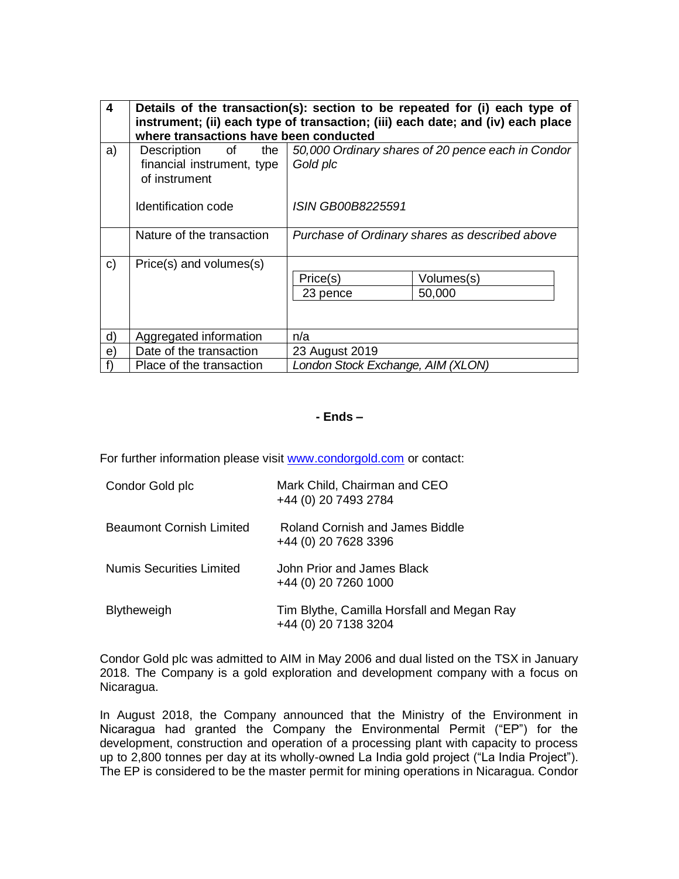| 4        | Details of the transaction(s): section to be repeated for (i) each type of<br>instrument; (ii) each type of transaction; (iii) each date; and (iv) each place |                                                               |                                                |  |
|----------|---------------------------------------------------------------------------------------------------------------------------------------------------------------|---------------------------------------------------------------|------------------------------------------------|--|
|          | where transactions have been conducted                                                                                                                        |                                                               |                                                |  |
| a)       | Description of<br>the<br>financial instrument, type<br>of instrument                                                                                          | 50,000 Ordinary shares of 20 pence each in Condor<br>Gold plc |                                                |  |
|          | Identification code                                                                                                                                           | <i><b>ISIN GB00B8225591</b></i>                               |                                                |  |
|          | Nature of the transaction                                                                                                                                     |                                                               | Purchase of Ordinary shares as described above |  |
| C)       | Price(s) and volumes(s)                                                                                                                                       |                                                               |                                                |  |
|          |                                                                                                                                                               | Price(s)                                                      | Volumes(s)                                     |  |
|          |                                                                                                                                                               | 23 pence                                                      | 50,000                                         |  |
|          |                                                                                                                                                               |                                                               |                                                |  |
| d)       | Aggregated information                                                                                                                                        | n/a                                                           |                                                |  |
| $\Theta$ | Date of the transaction                                                                                                                                       | 23 August 2019                                                |                                                |  |
| f        | Place of the transaction                                                                                                                                      | London Stock Exchange, AIM (XLON)                             |                                                |  |

### **- Ends –**

For further information please visit www.condorgold.com or contact:

| Condor Gold plc                 | Mark Child, Chairman and CEO<br>+44 (0) 20 7493 2784               |
|---------------------------------|--------------------------------------------------------------------|
| <b>Beaumont Cornish Limited</b> | <b>Roland Cornish and James Biddle</b><br>+44 (0) 20 7628 3396     |
| <b>Numis Securities Limited</b> | John Prior and James Black<br>+44 (0) 20 7260 1000                 |
| <b>Blytheweigh</b>              | Tim Blythe, Camilla Horsfall and Megan Ray<br>+44 (0) 20 7138 3204 |

Condor Gold plc was admitted to AIM in May 2006 and dual listed on the TSX in January 2018. The Company is a gold exploration and development company with a focus on Nicaragua.

In August 2018, the Company announced that the Ministry of the Environment in Nicaragua had granted the Company the Environmental Permit ("EP") for the development, construction and operation of a processing plant with capacity to process up to 2,800 tonnes per day at its wholly-owned La India gold project ("La India Project"). The EP is considered to be the master permit for mining operations in Nicaragua. Condor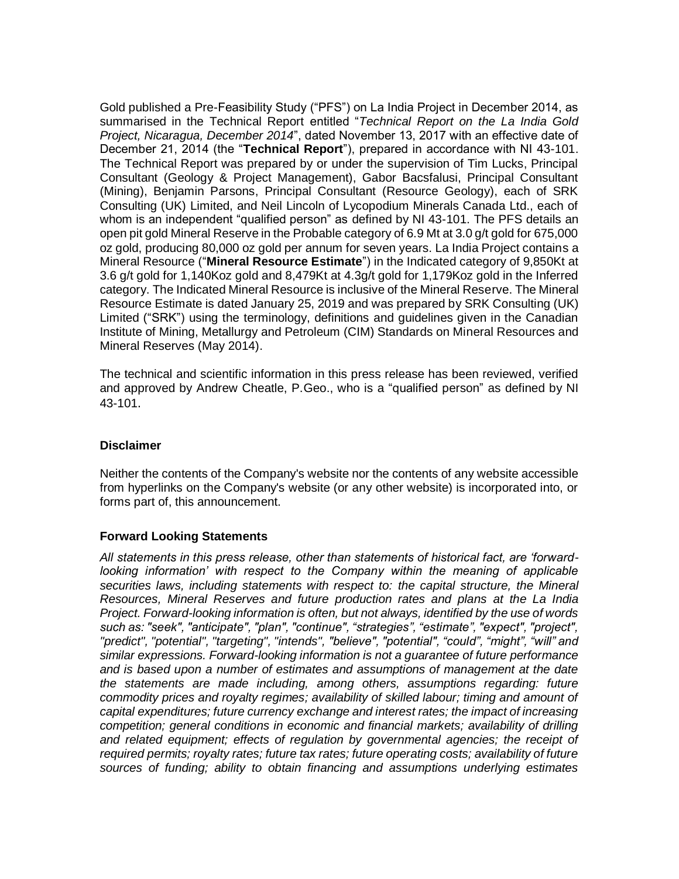Gold published a Pre-Feasibility Study ("PFS") on La India Project in December 2014, as summarised in the Technical Report entitled "*Technical Report on the La India Gold Project, Nicaragua, December 2014*", dated November 13, 2017 with an effective date of December 21, 2014 (the "**Technical Report**"), prepared in accordance with NI 43-101. The Technical Report was prepared by or under the supervision of Tim Lucks, Principal Consultant (Geology & Project Management), Gabor Bacsfalusi, Principal Consultant (Mining), Benjamin Parsons, Principal Consultant (Resource Geology), each of SRK Consulting (UK) Limited, and Neil Lincoln of Lycopodium Minerals Canada Ltd., each of whom is an independent "qualified person" as defined by NI 43-101. The PFS details an open pit gold Mineral Reserve in the Probable category of 6.9 Mt at 3.0 g/t gold for 675,000 oz gold, producing 80,000 oz gold per annum for seven years. La India Project contains a Mineral Resource ("**Mineral Resource Estimate**") in the Indicated category of 9,850Kt at 3.6 g/t gold for 1,140Koz gold and 8,479Kt at 4.3g/t gold for 1,179Koz gold in the Inferred category. The Indicated Mineral Resource is inclusive of the Mineral Reserve. The Mineral Resource Estimate is dated January 25, 2019 and was prepared by SRK Consulting (UK) Limited ("SRK") using the terminology, definitions and guidelines given in the Canadian Institute of Mining, Metallurgy and Petroleum (CIM) Standards on Mineral Resources and Mineral Reserves (May 2014).

The technical and scientific information in this press release has been reviewed, verified and approved by Andrew Cheatle, P.Geo., who is a "qualified person" as defined by NI 43-101.

#### **Disclaimer**

Neither the contents of the Company's website nor the contents of any website accessible from hyperlinks on the Company's website (or any other website) is incorporated into, or forms part of, this announcement.

#### **Forward Looking Statements**

*All statements in this press release, other than statements of historical fact, are 'forwardlooking information' with respect to the Company within the meaning of applicable securities laws, including statements with respect to: the capital structure, the Mineral Resources, Mineral Reserves and future production rates and plans at the La India Project. Forward-looking information is often, but not always, identified by the use of words such as: "seek", "anticipate", "plan", "continue", "strategies", "estimate", "expect", "project", "predict", "potential", "targeting", "intends", "believe", "potential", "could", "might", "will" and similar expressions. Forward-looking information is not a guarantee of future performance and is based upon a number of estimates and assumptions of management at the date the statements are made including, among others, assumptions regarding: future commodity prices and royalty regimes; availability of skilled labour; timing and amount of capital expenditures; future currency exchange and interest rates; the impact of increasing competition; general conditions in economic and financial markets; availability of drilling*  and related equipment; effects of regulation by governmental agencies; the receipt of *required permits; royalty rates; future tax rates; future operating costs; availability of future sources of funding; ability to obtain financing and assumptions underlying estimates*